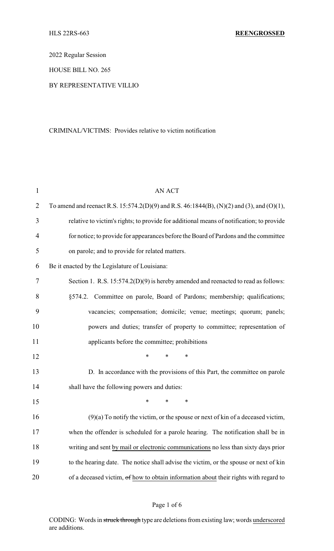2022 Regular Session

HOUSE BILL NO. 265

## BY REPRESENTATIVE VILLIO

#### CRIMINAL/VICTIMS: Provides relative to victim notification

| $\mathbf{1}$   | <b>AN ACT</b>                                                                             |
|----------------|-------------------------------------------------------------------------------------------|
| $\overline{2}$ | To amend and reenact R.S. 15:574.2(D)(9) and R.S. 46:1844(B), (N)(2) and (3), and (O)(1), |
| 3              | relative to victim's rights; to provide for additional means of notification; to provide  |
| 4              | for notice; to provide for appearances before the Board of Pardons and the committee      |
| 5              | on parole; and to provide for related matters.                                            |
| 6              | Be it enacted by the Legislature of Louisiana:                                            |
| 7              | Section 1. R.S. $15:574.2(D)(9)$ is hereby amended and reenacted to read as follows:      |
| 8              | §574.2. Committee on parole, Board of Pardons; membership; qualifications;                |
| 9              | vacancies; compensation; domicile; venue; meetings; quorum; panels;                       |
| 10             | powers and duties; transfer of property to committee; representation of                   |
| 11             | applicants before the committee; prohibitions                                             |
| 12             | $\ast$<br>*<br>∗                                                                          |
| 13             | D. In accordance with the provisions of this Part, the committee on parole                |
| 14             | shall have the following powers and duties:                                               |
| 15             | $\ast$<br>$\ast$<br>*                                                                     |
| 16             | $(9)(a)$ To notify the victim, or the spouse or next of kin of a deceased victim,         |
| 17             | when the offender is scheduled for a parole hearing. The notification shall be in         |
| 18             | writing and sent by mail or electronic communications no less than sixty days prior       |
| 19             | to the hearing date. The notice shall advise the victim, or the spouse or next of kin     |
| 20             | of a deceased victim, of how to obtain information about their rights with regard to      |

# Page 1 of 6

CODING: Words in struck through type are deletions from existing law; words underscored are additions.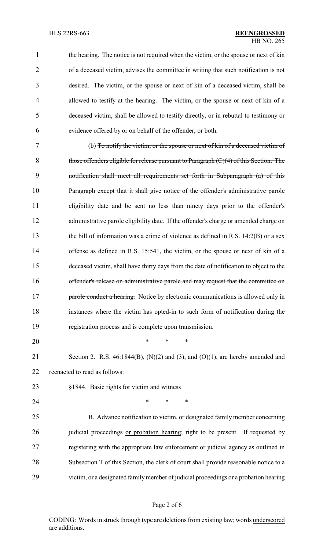| $\mathbf{1}$ | the hearing. The notice is not required when the victim, or the spouse or next of kin    |
|--------------|------------------------------------------------------------------------------------------|
| 2            | of a deceased victim, advises the committee in writing that such notification is not     |
| 3            | desired. The victim, or the spouse or next of kin of a deceased victim, shall be         |
| 4            | allowed to testify at the hearing. The victim, or the spouse or next of kin of a         |
| 5            | deceased victim, shall be allowed to testify directly, or in rebuttal to testimony or    |
| 6            | evidence offered by or on behalf of the offender, or both.                               |
| 7            | (b) To notify the victim, or the spouse or next of kin of a deceased victim of           |
| 8            | those offenders eligible for release pursuant to Paragraph $(C)(4)$ of this Section. The |
| 9            | notification shall meet all requirements set forth in Subparagraph (a) of this           |
| 10           | Paragraph except that it shall give notice of the offender's administrative parole       |
| 11           | eligibility date and be sent no less than ninety days prior to the offender's            |
| 12           | administrative parole eligibility date. If the offender's charge or amended charge on    |
| 13           | the bill of information was a crime of violence as defined in R.S. $14:2(B)$ or a sex    |
| 14           | offense as defined in R.S. 15:541, the victim, or the spouse or next of kin of a         |
| 15           | deceased victim, shall have thirty days from the date of notification to object to the   |
| 16           | offender's release on administrative parole and may request that the committee on        |
| 17           | parole conduct a hearing. Notice by electronic communications is allowed only in         |
| 18           | instances where the victim has opted-in to such form of notification during the          |
| 19           | registration process and is complete upon transmission.                                  |
| 20           | $\ast$<br>*<br>*                                                                         |
| 21           | Section 2. R.S. $46:1844(B)$ , (N)(2) and (3), and (O)(1), are hereby amended and        |
| 22           | reenacted to read as follows:                                                            |
| 23           | §1844. Basic rights for victim and witness                                               |
| 24           | $\ast$<br>∗<br>∗                                                                         |
| 25           | B. Advance notification to victim, or designated family member concerning                |
| 26           | judicial proceedings or probation hearing; right to be present. If requested by          |
| 27           | registering with the appropriate law enforcement or judicial agency as outlined in       |
| 28           | Subsection T of this Section, the clerk of court shall provide reasonable notice to a    |
| 29           | victim, or a designated family member of judicial proceedings or a probation hearing     |
|              |                                                                                          |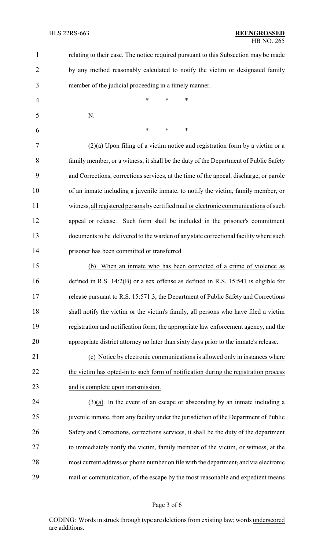| $\mathbf{1}$   | relating to their case. The notice required pursuant to this Subsection may be made    |
|----------------|----------------------------------------------------------------------------------------|
| $\overline{2}$ | by any method reasonably calculated to notify the victim or designated family          |
| 3              | member of the judicial proceeding in a timely manner.                                  |
| 4              | *<br>$\ast$<br>*                                                                       |
| 5              | N.                                                                                     |
| 6              | $\ast$<br>$\ast$<br>*                                                                  |
| 7              | $(2)(a)$ Upon filing of a victim notice and registration form by a victim or a         |
| 8              | family member, or a witness, it shall be the duty of the Department of Public Safety   |
| 9              | and Corrections, corrections services, at the time of the appeal, discharge, or parole |
| 10             | of an inmate including a juvenile inmate, to notify the victim, family member, or      |
| 11             | witness, all registered persons by certified mail or electronic communications of such |
| 12             | appeal or release. Such form shall be included in the prisoner's commitment            |
| 13             | documents to be delivered to the warden of any state correctional facility where such  |
| 14             | prisoner has been committed or transferred.                                            |
| 15             | (b) When an inmate who has been convicted of a crime of violence as                    |
| 16             | defined in R.S. $14:2(B)$ or a sex offense as defined in R.S. 15:541 is eligible for   |
| 17             | release pursuant to R.S. 15:571.3, the Department of Public Safety and Corrections     |
| 18             | shall notify the victim or the victim's family, all persons who have filed a victim    |
| 19             | registration and notification form, the appropriate law enforcement agency, and the    |
| 20             | appropriate district attorney no later than sixty days prior to the inmate's release.  |
| 21             | (c) Notice by electronic communications is allowed only in instances where             |
| 22             | the victim has opted-in to such form of notification during the registration process   |
| 23             | and is complete upon transmission.                                                     |
| 24             | $(3)(a)$ In the event of an escape or absconding by an inmate including a              |
| 25             | juvenile inmate, from any facility under the jurisdiction of the Department of Public  |
| 26             | Safety and Corrections, corrections services, it shall be the duty of the department   |
| 27             | to immediately notify the victim, family member of the victim, or witness, at the      |
| 28             | most current address or phone number on file with the department, and via electronic   |
| 29             | mail or communication, of the escape by the most reasonable and expedient means        |
|                |                                                                                        |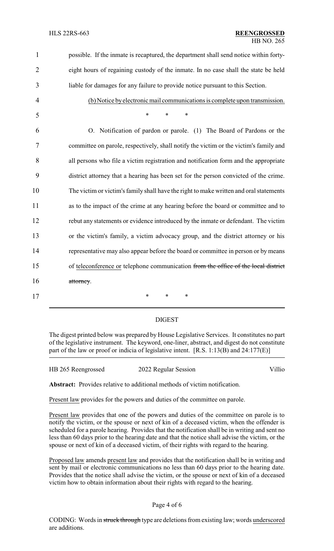| $\mathbf{1}$   | possible. If the inmate is recaptured, the department shall send notice within forty-  |
|----------------|----------------------------------------------------------------------------------------|
| $\overline{2}$ | eight hours of regaining custody of the inmate. In no case shall the state be held     |
| 3              | liable for damages for any failure to provide notice pursuant to this Section.         |
| $\overline{4}$ | (b) Notice by electronic mail communications is complete upon transmission.            |
| 5              | $\ast$<br>$\ast$<br>$\ast$                                                             |
| 6              | O. Notification of pardon or parole. (1) The Board of Pardons or the                   |
| 7              | committee on parole, respectively, shall notify the victim or the victim's family and  |
| 8              | all persons who file a victim registration and notification form and the appropriate   |
| 9              | district attorney that a hearing has been set for the person convicted of the crime.   |
| 10             | The victim or victim's family shall have the right to make written and oral statements |
| 11             | as to the impact of the crime at any hearing before the board or committee and to      |
| 12             | rebut any statements or evidence introduced by the inmate or defendant. The victim     |
| 13             | or the victim's family, a victim advocacy group, and the district attorney or his      |
| 14             | representative may also appear before the board or committee in person or by means     |
| 15             | of teleconference or telephone communication from the office of the local district     |
| 16             | attorney.                                                                              |
| 17             | $\ast$<br>$\ast$<br>∗                                                                  |

### DIGEST

The digest printed below was prepared by House Legislative Services. It constitutes no part of the legislative instrument. The keyword, one-liner, abstract, and digest do not constitute part of the law or proof or indicia of legislative intent. [R.S. 1:13(B) and 24:177(E)]

HB 265 Reengrossed 2022 Regular Session Villio

**Abstract:** Provides relative to additional methods of victim notification.

Present law provides for the powers and duties of the committee on parole.

Present law provides that one of the powers and duties of the committee on parole is to notify the victim, or the spouse or next of kin of a deceased victim, when the offender is scheduled for a parole hearing. Provides that the notification shall be in writing and sent no less than 60 days prior to the hearing date and that the notice shall advise the victim, or the spouse or next of kin of a deceased victim, of their rights with regard to the hearing.

Proposed law amends present law and provides that the notification shall be in writing and sent by mail or electronic communications no less than 60 days prior to the hearing date. Provides that the notice shall advise the victim, or the spouse or next of kin of a deceased victim how to obtain information about their rights with regard to the hearing.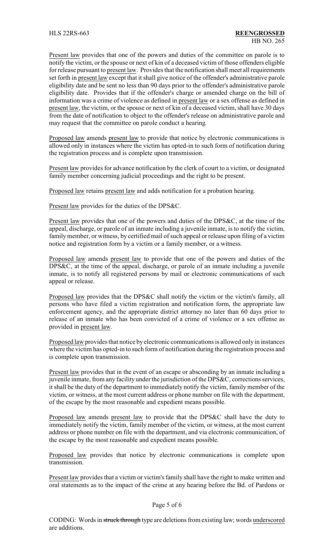Present law provides that one of the powers and duties of the committee on parole is to notify the victim, or the spouse or next of kin of a deceased victim of those offenders eligible for release pursuant to present law. Provides that the notification shall meet all requirements set forth in present law except that it shall give notice of the offender's administrative parole eligibility date and be sent no less than 90 days prior to the offender's administrative parole eligibility date. Provides that if the offender's charge or amended charge on the bill of information was a crime of violence as defined in present law or a sex offense as defined in present law, the victim, or the spouse or next of kin of a deceased victim, shall have 30 days from the date of notification to object to the offender's release on administrative parole and may request that the committee on parole conduct a hearing.

Proposed law amends present law to provide that notice by electronic communications is allowed only in instances where the victim has opted-in to such form of notification during the registration process and is complete upon transmission.

Present law provides for advance notification by the clerk of court to a victim, or designated family member concerning judicial proceedings and the right to be present.

Proposed law retains present law and adds notification for a probation hearing.

Present law provides for the duties of the DPS&C.

Present law provides that one of the powers and duties of the DPS&C, at the time of the appeal, discharge, or parole of an inmate including a juvenile inmate, is to notify the victim, family member, or witness, by certified mail of such appeal or release upon filing of a victim notice and registration form by a victim or a family member, or a witness.

Proposed law amends present law to provide that one of the powers and duties of the DPS&C, at the time of the appeal, discharge, or parole of an inmate including a juvenile inmate, is to notify all registered persons by mail or electronic communications of such appeal or release.

Proposed law provides that the DPS&C shall notify the victim or the victim's family, all persons who have filed a victim registration and notification form, the appropriate law enforcement agency, and the appropriate district attorney no later than 60 days prior to release of an inmate who has been convicted of a crime of violence or a sex offense as provided in present law.

Proposed law provides that notice by electronic communications is allowed only in instances where the victim has opted-in to such form of notification during the registration process and is complete upon transmission.

Present law provides that in the event of an escape or absconding by an inmate including a juvenile inmate, from any facility under the jurisdiction of the DPS&C, corrections services, it shall be the duty of the department to immediately notify the victim, family member of the victim, or witness, at the most current address or phone number on file with the department, of the escape by the most reasonable and expedient means possible.

Proposed law amends present law to provide that the DPS&C shall have the duty to immediately notify the victim, family member of the victim, or witness, at the most current address or phone number on file with the department, and via electronic communication, of the escape by the most reasonable and expedient means possible.

Proposed law provides that notice by electronic communications is complete upon transmission.

Present law provides that a victim or victim's family shall have the right to make written and oral statements as to the impact of the crime at any hearing before the Bd. of Pardons or